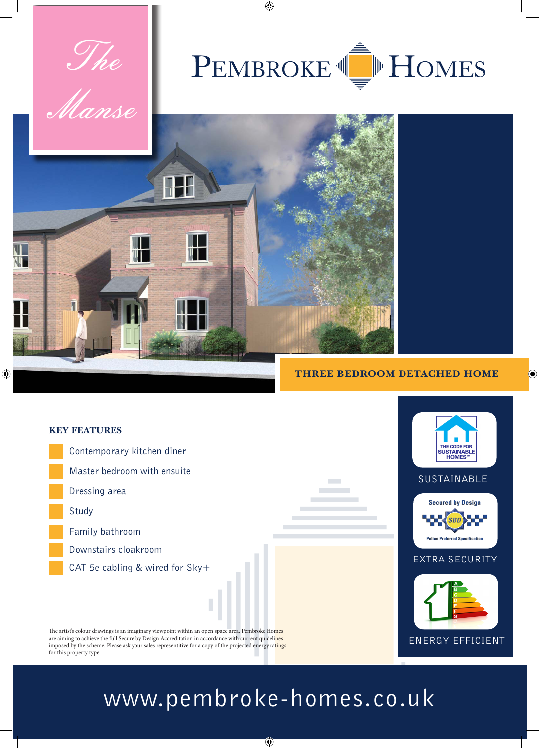

# PEMBROKE I MULLES

 $\bigoplus$ 



 $\bigoplus$ 



#### **THREE BEDROOM DETACHED HOME**

 $\bigoplus$ 



## www.pembroke-homes.co.uk

 $\bigcirc$